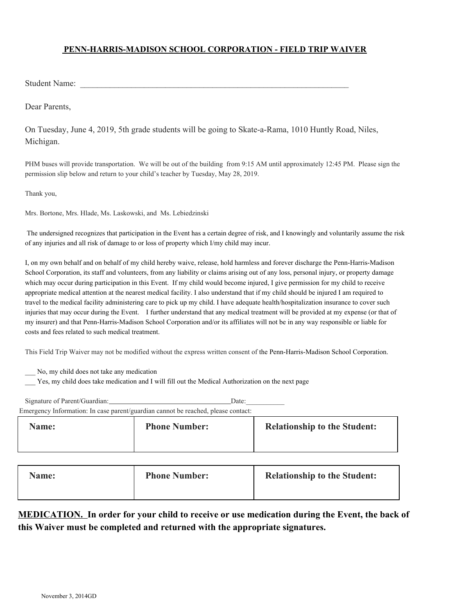## **PENN-HARRIS-MADISON SCHOOL CORPORATION - FIELD TRIP WAIVER**

Student Name:

Dear Parents,

On Tuesday, June 4, 2019, 5th grade students will be going to Skate-a-Rama, 1010 Huntly Road, Niles, Michigan.

PHM buses will provide transportation. We will be out of the building from 9:15 AM until approximately 12:45 PM. Please sign the permission slip below and return to your child's teacher by Tuesday, May 28, 2019.

Thank you,

Mrs. Bortone, Mrs. Hlade, Ms. Laskowski, and Ms. Lebiedzinski

 The undersigned recognizes that participation in the Event has a certain degree of risk, and I knowingly and voluntarily assume the risk of any injuries and all risk of damage to or loss of property which I/my child may incur.

I, on my own behalf and on behalf of my child hereby waive, release, hold harmless and forever discharge the Penn-Harris-Madison School Corporation, its staff and volunteers, from any liability or claims arising out of any loss, personal injury, or property damage which may occur during participation in this Event. If my child would become injured, I give permission for my child to receive appropriate medical attention at the nearest medical facility. I also understand that if my child should be injured I am required to travel to the medical facility administering care to pick up my child. I have adequate health/hospitalization insurance to cover such injuries that may occur during the Event. I further understand that any medical treatment will be provided at my expense (or that of my insurer) and that Penn-Harris-Madison School Corporation and/or its affiliates will not be in any way responsible or liable for costs and fees related to such medical treatment.

This Field Trip Waiver may not be modified without the express written consent of the Penn-Harris-Madison School Corporation.

\_\_\_ No, my child does not take any medication

Yes, my child does take medication and I will fill out the Medical Authorization on the next page

| Name: | <b>Phone Number:</b> | <b>Relationship to the Student:</b> |
|-------|----------------------|-------------------------------------|

| <b>Name:</b> | <b>Phone Number:</b> | <b>Relationship to the Student:</b> |
|--------------|----------------------|-------------------------------------|
|              |                      |                                     |

## **MEDICATION. In order for your child to receive or use medication during the Event, the back of this Waiver must be completed and returned with the appropriate signatures.**